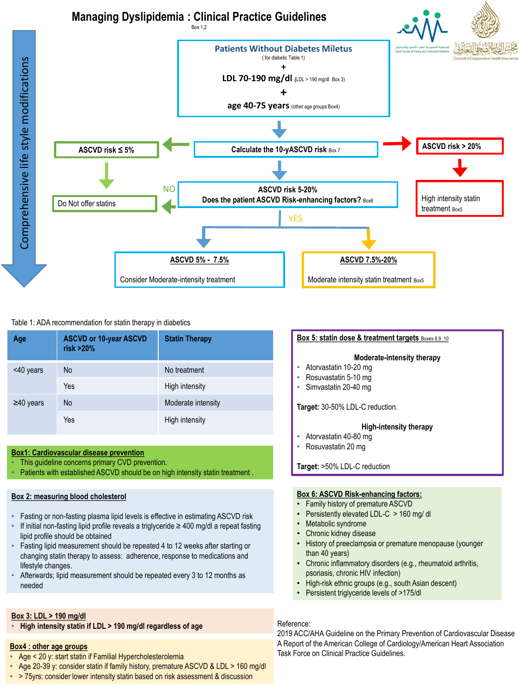

# Table 1: ADA recommendation for statin therapy in diabetics

| Age             | <b>ASCVD or 10-year ASCVD</b><br>risk >20% | <b>Statin Therapy</b> |
|-----------------|--------------------------------------------|-----------------------|
| <40 years       | <b>No</b>                                  | No treatment          |
|                 | Yes                                        | High intensity        |
| $\geq 40$ years | <b>No</b>                                  | Moderate intensity    |
|                 | Yes                                        | High intensity        |

### **Box1: Cardiovascular disease prevention**

- This guideline concerns primary CVD prevention.
- Patients with established ASCVD should be on high intensity statin treatment .

### **Box 2: measuring blood cholesterol**

- Fasting or non-fasting plasma lipid levels is effective in estimating ASCVD risk
- If initial non-fasting lipid profile reveals a triglyceride ≥ 400 mg/dl a repeat fasting lipid profile should be obtained
- Fasting lipid measurement should be repeated 4 to 12 weeks after starting or changing statin therapy to assess: adherence, response to medications and lifestyle changes.
- Afterwards; lipid measurement should be repeated every 3 to 12 months as needed

# **Box 3: LDL > 190 mg/dl**

• **High intensity statin if LDL > 190 mg/dl regardless of age** 

# **Box4 : other age groups**

- Age < 20 y: start statin if Familial Hypercholesterolemia
- Age 20-39 y: consider statin if family history, premature ASCVD & LDL > 160 mg/dl
- > 75yrs: consider lower intensity statin based on risk assessment & discussion

# **Box 5: statin dose & treatment targets** Boxes 8,9 ,10

# **Moderate-intensity therapy**

- Atorvastatin 10-20 mg
- Rosuvastatin 5-10 mg
- Simvastatin 20-40 mg

**Target:** 30-50% LDL-C reduction.

#### **High-intensity therapy**

- Atorvastatin 40-80 mg
- Rosuvastatin 20 mg

**Target:** >50% LDL-C reduction

### **Box 6: ASCVD Risk-enhancing factors:**

- Family history of premature ASCVD
- Persistently elevated LDL-C > 160 mg/ dl
- Metabolic syndrome
- Chronic kidney disease
- History of preeclampsia or premature menopause (younger than 40 years)
- Chronic inflammatory disorders (e.g., rheumatoid arthritis, psoriasis, chronic HIV infection)
- High-risk ethnic groups (e.g., south Asian descent)
- Persistent triglyceride levels of >175/dl

## Reference:

2019 ACC/AHA Guideline on the Primary Prevention of Cardiovascular Disease A Report of the American College of Cardiology/American Heart Association Task Force on Clinical Practice Guidelines.